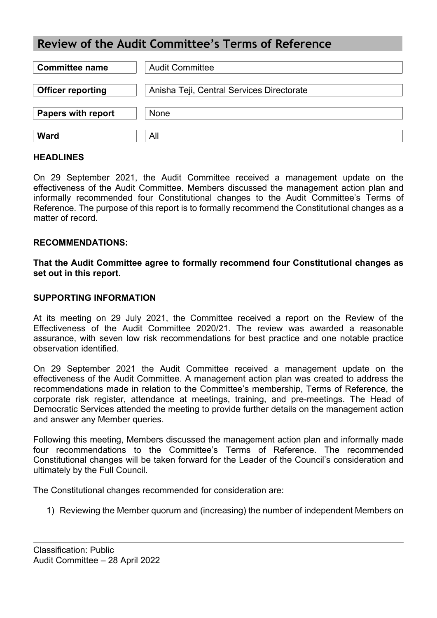# **Review of the Audit Committee's Terms of Reference**

| <b>Committee name</b>     | <b>Audit Committee</b>                    |
|---------------------------|-------------------------------------------|
| <b>Officer reporting</b>  | Anisha Teji, Central Services Directorate |
| <b>Papers with report</b> | None                                      |
| <b>Ward</b>               | All                                       |

### **HEADLINES**

On 29 September 2021, the Audit Committee received a management update on the effectiveness of the Audit Committee. Members discussed the management action plan and informally recommended four Constitutional changes to the Audit Committee's Terms of Reference. The purpose of this report is to formally recommend the Constitutional changes as a matter of record

#### **RECOMMENDATIONS:**

**That the Audit Committee agree to formally recommend four Constitutional changes as set out in this report.**

#### **SUPPORTING INFORMATION**

At its meeting on 29 July 2021, the Committee received a report on the Review of the Effectiveness of the Audit Committee 2020/21. The review was awarded a reasonable assurance, with seven low risk recommendations for best practice and one notable practice observation identified.

On 29 September 2021 the Audit Committee received a management update on the effectiveness of the Audit Committee. A management action plan was created to address the recommendations made in relation to the Committee's membership, Terms of Reference, the corporate risk register, attendance at meetings, training, and pre-meetings. The Head of Democratic Services attended the meeting to provide further details on the management action and answer any Member queries.

Following this meeting, Members discussed the management action plan and informally made four recommendations to the Committee's Terms of Reference. The recommended Constitutional changes will be taken forward for the Leader of the Council's consideration and ultimately by the Full Council.

The Constitutional changes recommended for consideration are:

1) Reviewing the Member quorum and (increasing) the number of independent Members on